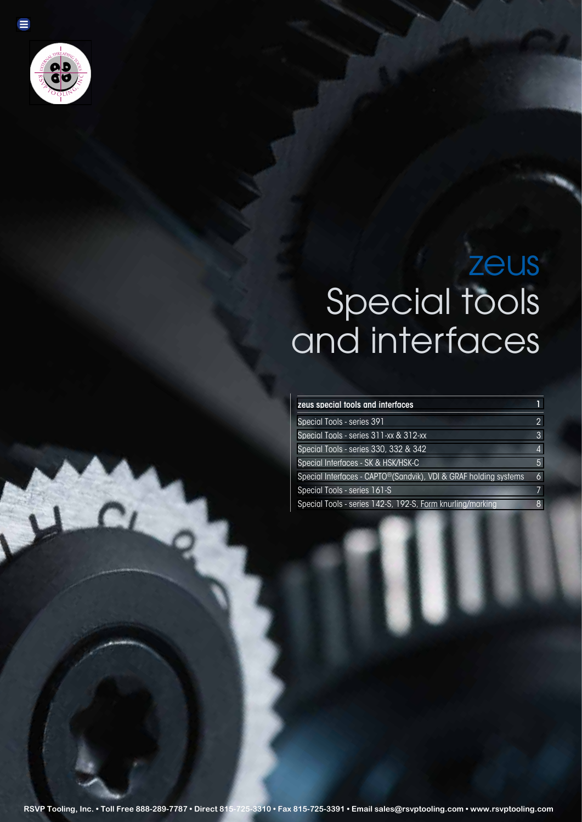

Ξ

# zeus Special tools and interfaces

## zeus special tools and interfaces 1 and 1 and 1 and 1 and 1 and 1 and 1 and 1 and 1 and 1 and 1 and 1 and 1 and 1 and 1 and 1 and 1 and 1 and 1 and 1 and 1 and 1 and 1 and 1 and 1 and 1 and 1 and 1 and 1 and 1 and 1 and 1

| Special Tools - series 391                                                    |   |
|-------------------------------------------------------------------------------|---|
| Special Tools - series 311-xx & 312-xx                                        | 3 |
| Special Tools - series 330, 332 & 342                                         | 4 |
| Special Interfaces - SK & HSK/HSK-C                                           | 5 |
| Special Interfaces - CAPTO <sup>®</sup> (Sandvik), VDI & GRAF holding systems | 6 |
| Special Tools - series 161-S                                                  | 7 |
| Special Tools - series 142-S, 192-S, Form knurling/marking                    | 8 |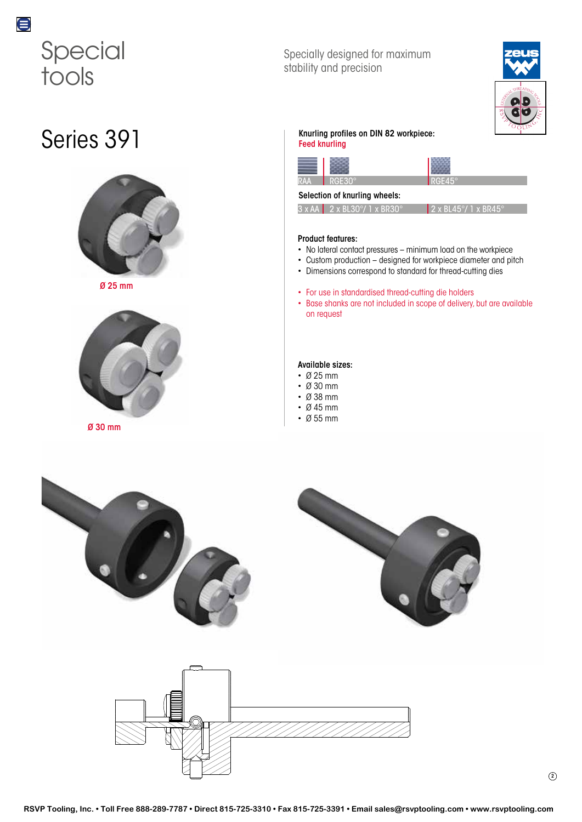<span id="page-1-0"></span>

## Series 391



Ø 25 mm



Ø 30 mm

## Specially designed for maximum stability and precision



## Knurling profiles on DIN 82 workpiece:

Feed knurling



### Selection of knurling wheels:

| $3 \times AA$ 2 x BL30°/ 1 x BR30° | 2 x BL45°/ 1 x BR45° |
|------------------------------------|----------------------|

## Product features:

- No lateral contact pressures minimum load on the workpiece
- Custom production designed for workpiece diameter and pitch
- Dimensions correspond to standard for thread-cutting dies
- For use in standardised thread-cutting die holders
- Base shanks are not included in scope of delivery, but are available on request

### Available sizes:

- Ø 25 mm
- Ø 30 mm
- Ø 38 mm
- Ø 45 mm
- Ø 55 mm



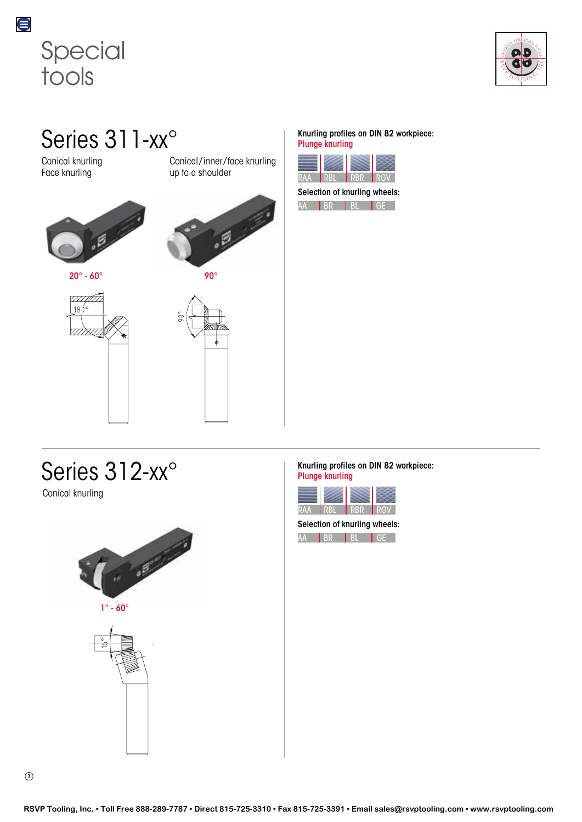<span id="page-2-0"></span>



Series 311-xx°

Conical knurling Face knurling



<u>VIIIII T</u>  $180^\circ$ 

Conical/inner/face knurling up to a shoulder



## Series 312-xx°

Conical knurling



1° - 60°



## Knurling profiles on DIN 82 workpiece: Plunge knurling



Selection of knurling wheels:



Knurling profiles on DIN 82 workpiece: Plunge knurling

| KAA | - 30 | MB. | RICN |
|-----|------|-----|------|

Selection of knurling wheels: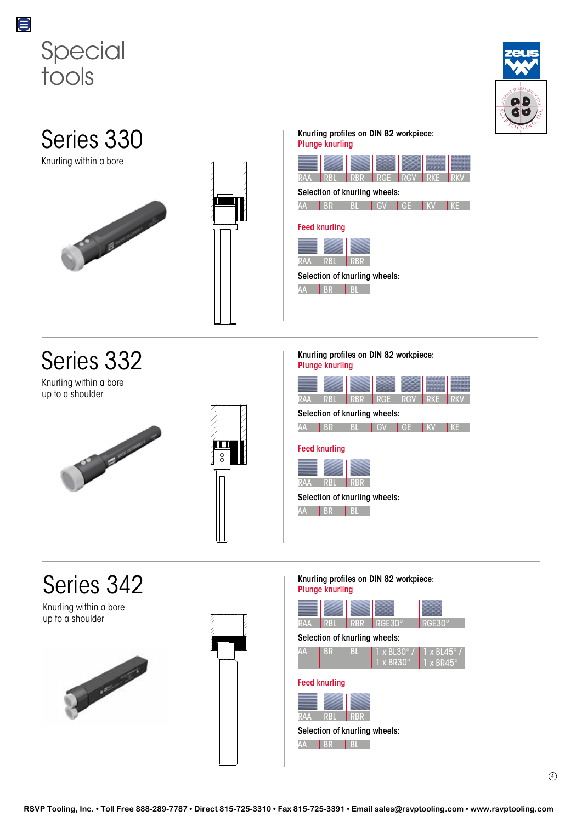<span id="page-3-0"></span>



## Series 330

Knurling within a bore





Knurling within a bore up to a shoulder





### Knurling profiles on DIN 82 workpiece: Plunge knurling



## Selection of knurling wheels:



## Feed knurling



## Selection of knurling wheels:

AA BR BL

### Knurling profiles on DIN 82 workpiece: Plunge knurling

| <b>RAA</b> | <b>RBI</b>                         | <b>RBR</b> | <b>RGE</b> | <b>RGV</b> | <b>RKF</b> | RK |
|------------|------------------------------------|------------|------------|------------|------------|----|
|            | Selection of knurling wheels:      |            |            |            |            |    |
| AA         | <b>BR</b>                          | <b>BL</b>  | <b>GV</b>  | GE.        | l kv       | KE |
| <b>RAA</b> | <b>Feed knurling</b><br><b>RBL</b> | <b>RBR</b> |            |            |            |    |
|            | Selection of knurling wheels:      |            |            |            |            |    |
| AД         | <b>BR</b>                          | BI         |            |            |            |    |

## Series 342

Knurling within a bore up to a shoulder





## Knurling profiles on DIN 82 workpiece: Plunge knurling

## RAA RBL RBR RGE30° RGE30° Selection of knurling wheels:



## Feed knurling

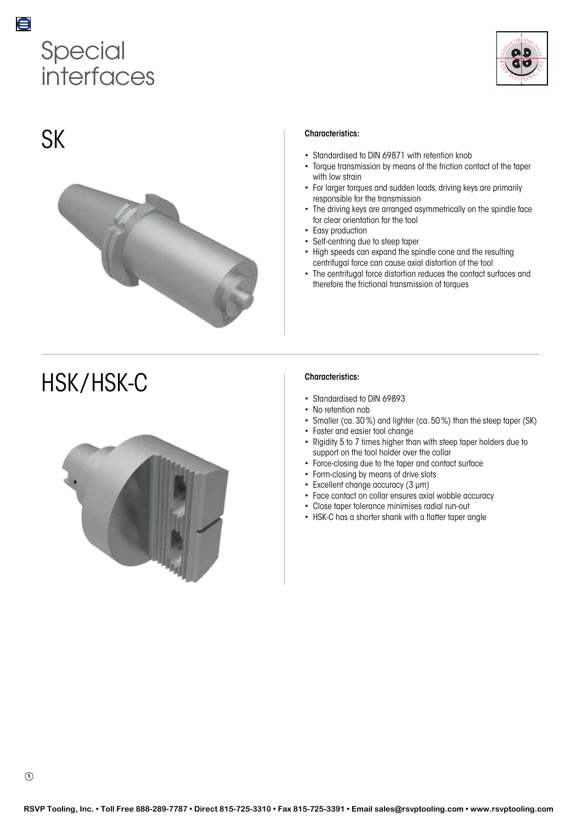# Special interfaces



## SK

<span id="page-4-0"></span>0



# HSK / HSK-C



## Characteristics:

- Standardised to DIN 69871 with retention knob
- Torque transmission by means of the friction contact of the taper with low strain
- For larger torques and sudden loads, driving keys are primarily responsible for the transmission
- The driving keys are arranged asymmetrically on the spindle face for clear orientation for the tool
- Easy production
- Self-centring due to steep taper
- High speeds can expand the spindle cone and the resulting centrifugal force can cause axial distortion of the tool
- The centrifugal force distortion reduces the contact surfaces and therefore the frictional transmission of torques

## Characteristics:

- Standardised to DIN 69893
- No retention nob
- Smaller (ca. 30%) and lighter (ca. 50%) than the steep taper (SK)
- Faster and easier tool change
- Rigidity 5 to 7 times higher than with steep taper holders due to support on the tool holder over the collar
- Force-closing due to the taper and contact surface
- Form-closing by means of drive slots
- Excellent change accuracy (3 μm)
- Face contact on collar ensures axial wobble accuracy
- Close taper tolerance minimises radial run-out
- HSK-C has a shorter shank with a flatter taper angle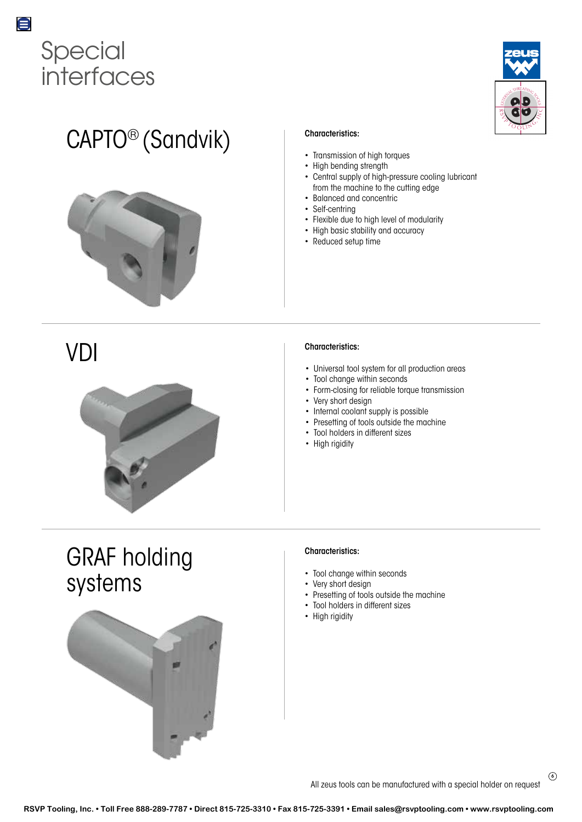<span id="page-5-0"></span>



# CAPTO® (Sandvik)



## VDI

![](_page_5_Picture_5.jpeg)

## Characteristics:

- Transmission of high torques
- High bending strength
- Central supply of high-pressure cooling lubricant from the machine to the cutting edge
- Balanced and concentric
- Self-centring
- Flexible due to high level of modularity
- High basic stability and accuracy
- Reduced setup time

## Characteristics:

- Universal tool system for all production areas
- Tool change within seconds
- Form-closing for reliable torque transmission
- Very short design
- Internal coolant supply is possible
- Presetting of tools outside the machine
- Tool holders in different sizes
- High rigidity

## GRAF holding systems

![](_page_5_Picture_25.jpeg)

## Characteristics:

- Tool change within seconds
- Very short design
- Presetting of tools outside the machine
- Tool holders in different sizes
- High rigidity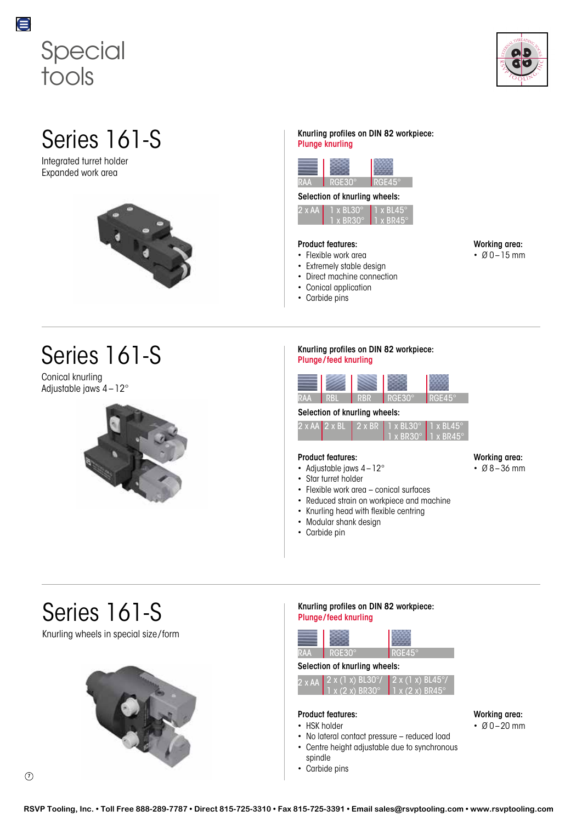<span id="page-6-0"></span>![](_page_6_Picture_0.jpeg)

![](_page_6_Picture_1.jpeg)

Integrated turret holder Expanded work area

![](_page_6_Picture_4.jpeg)

Conical knurling Adjustable jaws 4–12°

![](_page_6_Picture_7.jpeg)

### $Series \, 161-S$  Knurling profiles on DIN 82 workpiece: Plunge knurling

![](_page_6_Picture_9.jpeg)

## Selection of knurling wheels:

| $2 \times AA$ | $\nabla$ x BL30 $^{\circ}$  | $\Pi$ x BL45 $^{\circ}$ |
|---------------|-----------------------------|-------------------------|
|               |                             |                         |
|               | <b>N X BR30<sup>o</sup></b> | $\P$ T x BR45°          |
|               |                             |                         |

## Product features:

- Flexible work area
- Extremely stable design
- Direct machine connection
- Conical application
- Carbide pins

Working area:  $• 00 - 15$  mm

Working area:

• Ø 8–36 mm

### $Series \, 161-S$  Knurling profiles on DIN 82 workpiece: Plunge /feed knurling

![](_page_6_Picture_20.jpeg)

## Selection of knurling wheels:

|  | $2 \times$ AA 2 $\times$ BL 2 $\times$ BR 1 $\times$ BL30 $^{\circ}$ 1 $\times$ BL45 $^{\circ}$ |  |
|--|-------------------------------------------------------------------------------------------------|--|
|  | $1 \times$ BR30 $^{\circ}$ 1 x BR45 $^{\circ}$ 1                                                |  |

## Product features:

- Adjustable jaws  $4-12^{\circ}$
- Star turret holder
- Flexible work area conical surfaces
- Reduced strain on workpiece and machine
- Knurling head with flexible centring
- Modular shank design
- Carbide pin

## Series 161-S

Knurling wheels in special size /form

![](_page_6_Picture_33.jpeg)

## Knurling profiles on DIN 82 workpiece: Plunge /feed knurling

![](_page_6_Picture_35.jpeg)

## RGE30° RGE45°

## Selection of knurling wheels:

| $2 \times AA$ $2 \times (1 \times)$ BL30°/ $2 \times (1 \times)$ BL45° |  |
|------------------------------------------------------------------------|--|
| $1 x (2 x) BR30^{\circ} 1 x (2 x) BR45^{\circ}$                        |  |

## Product features:

- HSK holder
- No lateral contact pressure reduced load
- Centre height adjustable due to synchronous
- spindle
- Carbide pins

Working area:

 $\cdot$  Ø 0 – 20 mm

 $\left( \mathcal{D}\right)$